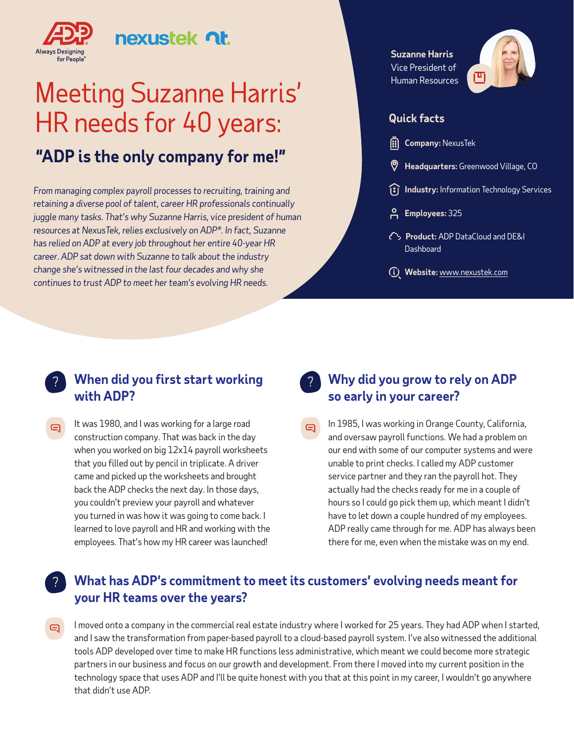

?

## nexustek **nt**

# Meeting Suzanne Harris' HR needs for 40 years:

## **"ADP is the only company for me!"**

*From managing complex payroll processes to recruiting, training and retaining a diverse pool of talent, career HR professionals continually juggle many tasks. That's why Suzanne Harris, vice president of human resources at NexusTek, relies exclusively on ADP®. In fact, Suzanne has relied on ADP at every job throughout her entire 40-year HR career. ADP sat down with Suzanne to talk about the industry change she's witnessed in the last four decades and why she continues to trust ADP to meet her team's evolving HR needs.* 

**Suzanne Harris**  Vice President of Human Resources



#### **Quick facts**

- **Company:** NexusTek
- **Headquarters:** Greenwood Village, CO
- **I** Industry: Information Technology Services
- **Employees:** 325
- **Product:** ADP DataCloud and DE&I **Dashboard**
- **Website:** [www.nexustek.com](http://www.nexustek.com)

#### **When did you first start working**  ? ? **with ADP?**

It was 1980, and I was working for a large road  $\boldsymbol{\Xi}$ construction company. That was back in the day when you worked on big 12x14 payroll worksheets that you filled out by pencil in triplicate. A driver came and picked up the worksheets and brought back the ADP checks the next day. In those days, you couldn't preview your payroll and whatever you turned in was how it was going to come back. I learned to love payroll and HR and working with the employees. That's how my HR career was launched!

#### **Why did you grow to rely on ADP so early in your career?**

In 1985, I was working in Orange County, California,  $\boldsymbol{\Theta}$ and oversaw payroll functions. We had a problem on our end with some of our computer systems and were unable to print checks. I called my ADP customer service partner and they ran the payroll hot. They actually had the checks ready for me in a couple of hours so I could go pick them up, which meant I didn't have to let down a couple hundred of my employees. ADP really came through for me. ADP has always been there for me, even when the mistake was on my end.

#### **What has ADP's commitment to meet its customers' evolving needs meant for your HR teams over the years?**

I moved onto a company in the commercial real estate industry where I worked for 25 years. They had ADP when I started, e. and I saw the transformation from paper-based payroll to a cloud-based payroll system. I've also witnessed the additional tools ADP developed over time to make HR functions less administrative, which meant we could become more strategic partners in our business and focus on our growth and development. From there I moved into my current position in the technology space that uses ADP and I'll be quite honest with you that at this point in my career, I wouldn't go anywhere that didn't use ADP.